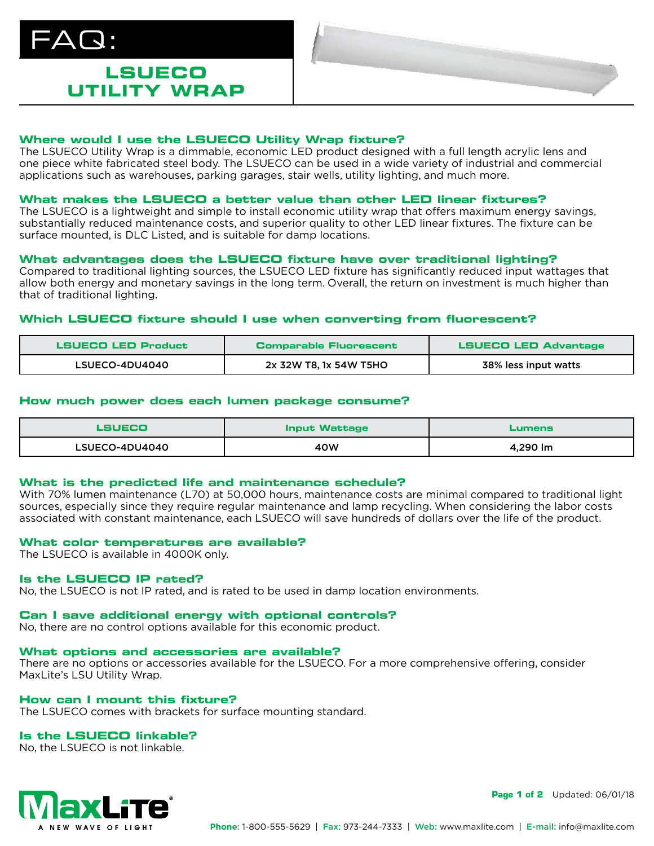# $\Delta\bm{\mathsf{Q}}$  :

# **LSUECO UTILITY WRAP**

# **Where would I use the LSUECO Utility Wrap fixture?**

The LSUECO Utility Wrap is a dimmable, economic LED product designed with a full length acrylic lens and one piece white fabricated steel body. The LSUECO can be used in a wide variety of industrial and commercial applications such as warehouses, parking garages, stair wells, utility lighting, and much more.

# **What makes the LSUECO a better value than other LED linear fixtures?**

The LSUECO is a lightweight and simple to install economic utility wrap that offers maximum energy savings, substantially reduced maintenance costs, and superior quality to other LED linear fixtures. The fixture can be surface mounted, is DLC Listed, and is suitable for damp locations.

# **What advantages does the LSUECO fixture have over traditional lighting?**

Compared to traditional lighting sources, the LSUECO LED fixture has significantly reduced input wattages that allow both energy and monetary savings in the long term. Overall, the return on investment is much higher than that of traditional lighting.

# **Which LSUECO fixture should I use when converting from fluorescent?**

| LSUECO LED Product | <b>Comparable Fluorescent</b> | <b>LSUECO LED Advantage</b> |
|--------------------|-------------------------------|-----------------------------|
| LSUECO-4DU4040     | 2x 32W T8, 1x 54W T5HO        | 38% less input watts        |

# **How much power does each lumen package consume?**

| LSUECO         | <b>Input Wattage</b> | Lumens   |
|----------------|----------------------|----------|
| LSUECO-4DU4040 | 40W                  | 4.290 lm |

# **What is the predicted life and maintenance schedule?**

With 70% lumen maintenance (L70) at 50,000 hours, maintenance costs are minimal compared to traditional light sources, especially since they require regular maintenance and lamp recycling. When considering the labor costs associated with constant maintenance, each LSUECO will save hundreds of dollars over the life of the product.

# **What color temperatures are available?**

The LSUECO is available in 4000K only.

# **Is the LSUECO IP rated?**

No, the LSUECO is not IP rated, and is rated to be used in damp location environments.

# **Can I save additional energy with optional controls?**

No, there are no control options available for this economic product.

# **What options and accessories are available?**

There are no options or accessories available for the LSUECO. For a more comprehensive offering, consider MaxLite's LSU Utility Wrap.

# **How can I mount this fixture?**

The LSUECO comes with brackets for surface mounting standard.

# **Is the LSUECO linkable?**

No, the LSUECO is not linkable.



**Page 1 of 2** Updated: 06/01/18